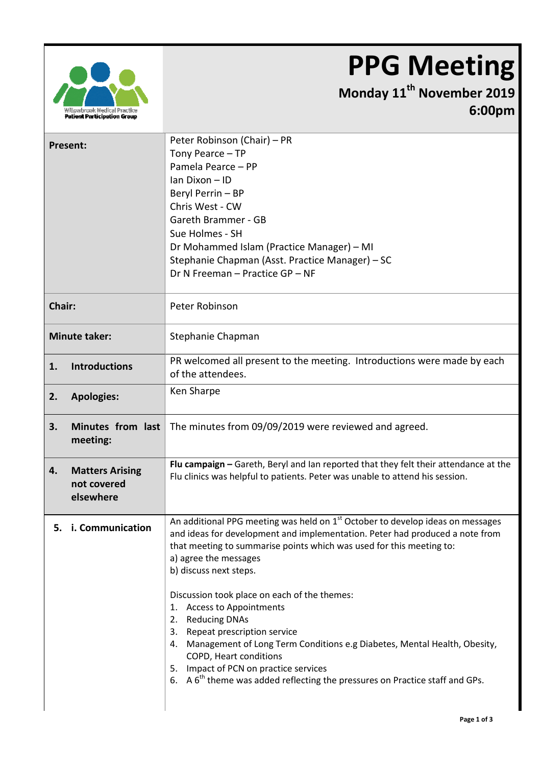## **PPG Meeting**



## **Monday 11th November 2019 6:00pm**

| Present:             |                                                    | Peter Robinson (Chair) – PR<br>Tony Pearce - TP<br>Pamela Pearce - PP<br>Ian Dixon - ID<br>Beryl Perrin - BP<br>Chris West - CW<br>Gareth Brammer - GB<br>Sue Holmes - SH<br>Dr Mohammed Islam (Practice Manager) - MI<br>Stephanie Chapman (Asst. Practice Manager) - SC<br>Dr N Freeman - Practice GP - NF                                                                                                                                                                                                                                                                                                                                                                 |  |  |
|----------------------|----------------------------------------------------|------------------------------------------------------------------------------------------------------------------------------------------------------------------------------------------------------------------------------------------------------------------------------------------------------------------------------------------------------------------------------------------------------------------------------------------------------------------------------------------------------------------------------------------------------------------------------------------------------------------------------------------------------------------------------|--|--|
| <b>Chair:</b>        |                                                    | Peter Robinson                                                                                                                                                                                                                                                                                                                                                                                                                                                                                                                                                                                                                                                               |  |  |
| <b>Minute taker:</b> |                                                    | Stephanie Chapman                                                                                                                                                                                                                                                                                                                                                                                                                                                                                                                                                                                                                                                            |  |  |
| 1.                   | <b>Introductions</b>                               | PR welcomed all present to the meeting. Introductions were made by each<br>of the attendees.                                                                                                                                                                                                                                                                                                                                                                                                                                                                                                                                                                                 |  |  |
| 2.                   | <b>Apologies:</b>                                  | Ken Sharpe                                                                                                                                                                                                                                                                                                                                                                                                                                                                                                                                                                                                                                                                   |  |  |
| 3.                   | Minutes from last<br>meeting:                      | The minutes from 09/09/2019 were reviewed and agreed.                                                                                                                                                                                                                                                                                                                                                                                                                                                                                                                                                                                                                        |  |  |
| 4.                   | <b>Matters Arising</b><br>not covered<br>elsewhere | Flu campaign - Gareth, Beryl and Ian reported that they felt their attendance at the<br>Flu clinics was helpful to patients. Peter was unable to attend his session.                                                                                                                                                                                                                                                                                                                                                                                                                                                                                                         |  |  |
|                      | 5. i. Communication                                | An additional PPG meeting was held on $1st$ October to develop ideas on messages<br>and ideas for development and implementation. Peter had produced a note from<br>that meeting to summarise points which was used for this meeting to:<br>a) agree the messages<br>b) discuss next steps.<br>Discussion took place on each of the themes:<br><b>Access to Appointments</b><br>1.<br>2. Reducing DNAs<br>3. Repeat prescription service<br>4. Management of Long Term Conditions e.g Diabetes, Mental Health, Obesity,<br>COPD, Heart conditions<br>5. Impact of PCN on practice services<br>6. A $6th$ theme was added reflecting the pressures on Practice staff and GPs. |  |  |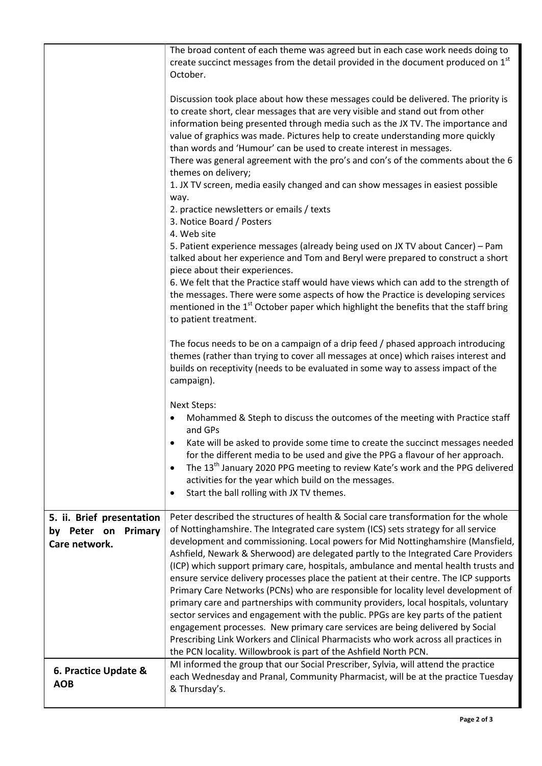|                                                                      | The broad content of each theme was agreed but in each case work needs doing to<br>create succinct messages from the detail provided in the document produced on 1 <sup>st</sup><br>October.                                                                                                                                                                                                                                                                                                                                                                                                                                                                                                                                                                                                                                                                                                                                                                                                                                                   |
|----------------------------------------------------------------------|------------------------------------------------------------------------------------------------------------------------------------------------------------------------------------------------------------------------------------------------------------------------------------------------------------------------------------------------------------------------------------------------------------------------------------------------------------------------------------------------------------------------------------------------------------------------------------------------------------------------------------------------------------------------------------------------------------------------------------------------------------------------------------------------------------------------------------------------------------------------------------------------------------------------------------------------------------------------------------------------------------------------------------------------|
|                                                                      | Discussion took place about how these messages could be delivered. The priority is<br>to create short, clear messages that are very visible and stand out from other<br>information being presented through media such as the JX TV. The importance and<br>value of graphics was made. Pictures help to create understanding more quickly<br>than words and 'Humour' can be used to create interest in messages.<br>There was general agreement with the pro's and con's of the comments about the 6<br>themes on delivery;<br>1. JX TV screen, media easily changed and can show messages in easiest possible<br>way.<br>2. practice newsletters or emails / texts<br>3. Notice Board / Posters<br>4. Web site<br>5. Patient experience messages (already being used on JX TV about Cancer) - Pam<br>talked about her experience and Tom and Beryl were prepared to construct a short                                                                                                                                                         |
|                                                                      | piece about their experiences.<br>6. We felt that the Practice staff would have views which can add to the strength of<br>the messages. There were some aspects of how the Practice is developing services<br>mentioned in the 1 <sup>st</sup> October paper which highlight the benefits that the staff bring<br>to patient treatment.                                                                                                                                                                                                                                                                                                                                                                                                                                                                                                                                                                                                                                                                                                        |
|                                                                      | The focus needs to be on a campaign of a drip feed / phased approach introducing<br>themes (rather than trying to cover all messages at once) which raises interest and<br>builds on receptivity (needs to be evaluated in some way to assess impact of the<br>campaign).                                                                                                                                                                                                                                                                                                                                                                                                                                                                                                                                                                                                                                                                                                                                                                      |
|                                                                      | <b>Next Steps:</b><br>Mohammed & Steph to discuss the outcomes of the meeting with Practice staff<br>and GPs                                                                                                                                                                                                                                                                                                                                                                                                                                                                                                                                                                                                                                                                                                                                                                                                                                                                                                                                   |
|                                                                      | Kate will be asked to provide some time to create the succinct messages needed<br>for the different media to be used and give the PPG a flavour of her approach.<br>The 13 <sup>th</sup> January 2020 PPG meeting to review Kate's work and the PPG delivered<br>$\bullet$<br>activities for the year which build on the messages.                                                                                                                                                                                                                                                                                                                                                                                                                                                                                                                                                                                                                                                                                                             |
|                                                                      | Start the ball rolling with JX TV themes.<br>٠                                                                                                                                                                                                                                                                                                                                                                                                                                                                                                                                                                                                                                                                                                                                                                                                                                                                                                                                                                                                 |
| 5. ii. Brief presentation<br>by Peter on<br>Primary<br>Care network. | Peter described the structures of health & Social care transformation for the whole<br>of Nottinghamshire. The Integrated care system (ICS) sets strategy for all service<br>development and commissioning. Local powers for Mid Nottinghamshire (Mansfield,<br>Ashfield, Newark & Sherwood) are delegated partly to the Integrated Care Providers<br>(ICP) which support primary care, hospitals, ambulance and mental health trusts and<br>ensure service delivery processes place the patient at their centre. The ICP supports<br>Primary Care Networks (PCNs) who are responsible for locality level development of<br>primary care and partnerships with community providers, local hospitals, voluntary<br>sector services and engagement with the public. PPGs are key parts of the patient<br>engagement processes. New primary care services are being delivered by Social<br>Prescribing Link Workers and Clinical Pharmacists who work across all practices in<br>the PCN locality. Willowbrook is part of the Ashfield North PCN. |
| 6. Practice Update &<br><b>AOB</b>                                   | MI informed the group that our Social Prescriber, Sylvia, will attend the practice<br>each Wednesday and Pranal, Community Pharmacist, will be at the practice Tuesday<br>& Thursday's.                                                                                                                                                                                                                                                                                                                                                                                                                                                                                                                                                                                                                                                                                                                                                                                                                                                        |